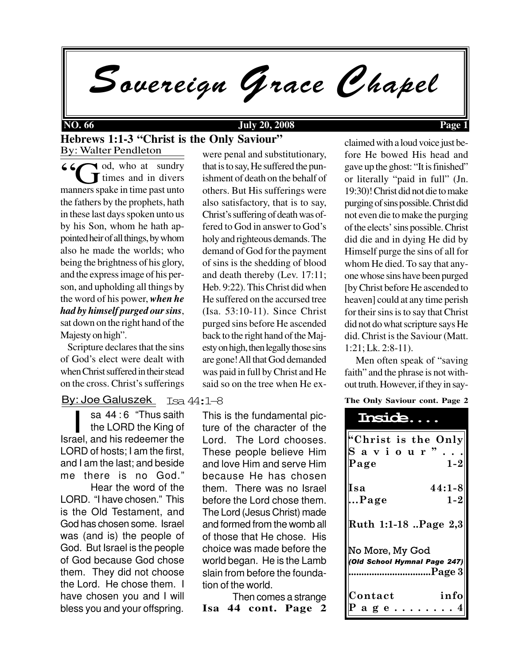Sovereign Grace Chapel

## **NO. 66 July 20, 2008 Page 1**

By: Walter Pendleton **Hebrews 1:1-3 "Christ is the Only Saviour"**

via od, who at sundry **T** times and in divers <sup>6</sup>  $\bigodot$  od, who at sundry<br>manners spake in time past unto the fathers by the prophets, hath in these last days spoken unto us by his Son, whom he hath appointed heir of all things, by whom also he made the worlds; who being the brightness of his glory, and the express image of his person, and upholding all things by the word of his power, *when he had by himself purged our sins*, sat down on the right hand of the Majesty on high".

 Scripture declares that the sins of God's elect were dealt with when Christ suffered in their stead on the cross. Christ's sufferings

# By: Joe Galuszek Isa 44**:**1–8

sa 44 : 6 "Thus saith"<br>the LORD the King of<br>Israel, and his redeemer the sa 44:6 "Thus saith the LORD the King of LORD of hosts; I am the first, and I am the last; and beside me there is no God."

Hear the word of the LORD. "I have chosen." This is the Old Testament, and God has chosen some. Israel was (and is) the people of God. But Israel is the people of God because God chose them. They did not choose the Lord. He chose them. I have chosen you and I will bless you and your offspring.

were penal and substitutionary, that is to say, He suffered the punishment of death on the behalf of others. But His sufferings were also satisfactory, that is to say, Christ's suffering of death was offered to God in answer to God's holy and righteous demands. The demand of God for the payment of sins is the shedding of blood and death thereby (Lev. 17:11; Heb. 9:22). This Christ did when He suffered on the accursed tree (Isa. 53:10-11). Since Christ purged sins before He ascended back to the right hand of the Majesty on high, then legally those sins are gone! All that God demanded was paid in full by Christ and He said so on the tree when He ex-

This is the fundamental picture of the character of the Lord. The Lord chooses. These people believe Him and love Him and serve Him because He has chosen them. There was no Israel before the Lord chose them. The Lord (Jesus Christ) made and formed from the womb all of those that He chose. His choice was made before the world began. He is the Lamb slain from before the foundation of the world.

**Isa 44 cont. Page 2** Then comes a strange

claimed with a loud voice just before He bowed His head and gave up the ghost: "It is finished" or literally "paid in full" (Jn. 19:30)! Christ did not die to make purging of sins possible. Christ did not even die to make the purging of the elects' sins possible. Christ did die and in dying He did by Himself purge the sins of all for whom He died. To say that anyone whose sins have been purged [by Christ before He ascended to heaven] could at any time perish for their sins is to say that Christ did not do what scripture says He did. Christ is the Saviour (Matt. 1:21; Lk. 2:8-11).

 Men often speak of "saving faith" and the phrase is not without truth. However, if they in say-

### **The Only Saviour cont. Page 2**

| <b>Inside</b>                                                                |
|------------------------------------------------------------------------------|
| $^{\sf k}\textnormal{Christ}$ is the Only<br>Saviour"<br>Page<br>$1 - 2$     |
| $44:1 - 8$<br>Isa<br>$1 - 2$<br>Page                                         |
| Ruth 1:1-18 Page 2,3                                                         |
| No More, My God<br>(Old School Hymnal Page 247)<br>$\blacksquare$ Page 3<br> |
| info<br>Contact<br>Page.                                                     |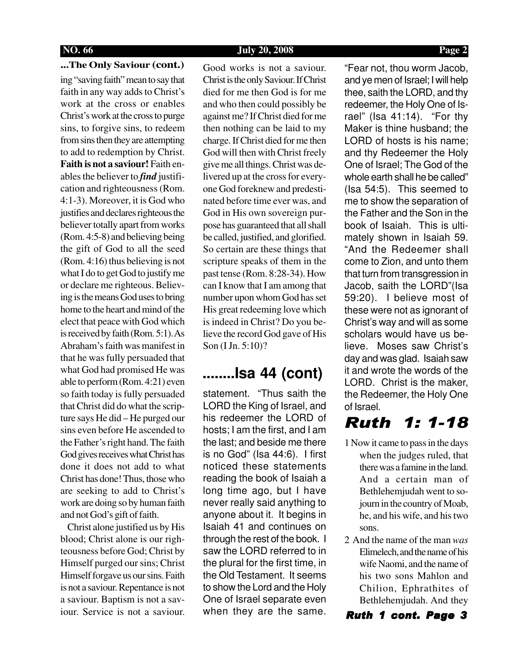## **NO. 66 July 20, 2008 Page 2**

**...The Only Saviour (cont.)**

ing "saving faith" mean to say that faith in any way adds to Christ's work at the cross or enables Christ's work at the cross to purge sins, to forgive sins, to redeem from sins then they are attempting to add to redemption by Christ. **Faith is not a saviour!** Faith enables the believer to *find* justification and righteousness (Rom. 4:1-3). Moreover, it is God who justifies and declares righteous the believer totally apart from works (Rom. 4:5-8) and believing being the gift of God to all the seed (Rom. 4:16) thus believing is not what I do to get God to justify me or declare me righteous. Believing is the means God uses to bring home to the heart and mind of the elect that peace with God which is received by faith (Rom. 5:1). As Abraham's faith was manifest in that he was fully persuaded that what God had promised He was able to perform (Rom. 4:21) even so faith today is fully persuaded that Christ did do what the scripture says He did – He purged our sins even before He ascended to the Father's right hand. The faith God gives receives what Christ has done it does not add to what Christ has done! Thus, those who are seeking to add to Christ's work are doing so by human faith and not God's gift of faith.

 Christ alone justified us by His blood; Christ alone is our righteousness before God; Christ by Himself purged our sins; Christ Himself forgave us our sins. Faith is not a saviour. Repentance is not a saviour. Baptism is not a saviour. Service is not a saviour.

Good works is not a saviour. Christ is the only Saviour. If Christ died for me then God is for me and who then could possibly be against me? If Christ died for me then nothing can be laid to my charge. If Christ died for me then God will then with Christ freely give me all things. Christ was delivered up at the cross for everyone God foreknew and predestinated before time ever was, and God in His own sovereign purpose has guaranteed that all shall be called, justified, and glorified. So certain are these things that scripture speaks of them in the past tense (Rom. 8:28-34). How can I know that I am among that number upon whom God has set His great redeeming love which is indeed in Christ? Do you believe the record God gave of His Son (I Jn. 5:10)?

# **........Isa 44 (cont)**

statement. "Thus saith the LORD the King of Israel, and his redeemer the LORD of hosts; I am the first, and I am the last; and beside me there is no God" (Isa 44:6). I first noticed these statements reading the book of Isaiah a long time ago, but I have never really said anything to anyone about it. It begins in Isaiah 41 and continues on through the rest of the book. I saw the LORD referred to in the plural for the first time, in the Old Testament. It seems to show the Lord and the Holy One of Israel separate even when they are the same.

"Fear not, thou worm Jacob, and ye men of Israel; I will help thee, saith the LORD, and thy redeemer, the Holy One of Israel" (Isa 41:14). "For thy Maker is thine husband; the LORD of hosts is his name; and thy Redeemer the Holy One of Israel; The God of the whole earth shall he be called" (Isa 54:5). This seemed to me to show the separation of the Father and the Son in the book of Isaiah. This is ultimately shown in Isaiah 59. "And the Redeemer shall come to Zion, and unto them that turn from transgression in Jacob, saith the LORD"(Isa 59:20). I believe most of these were not as ignorant of Christ's way and will as some scholars would have us believe. Moses saw Christ's day and was glad. Isaiah saw it and wrote the words of the LORD. Christ is the maker, the Redeemer, the Holy One of Israel.

# Ruth 1: 1-18

- 1 Now it came to pass in the days when the judges ruled, that there was a famine in the land. And a certain man of Bethlehemjudah went to sojourn in the country of Moab, he, and his wife, and his two sons.
- 2 And the name of the man *was* Elimelech, and the name of his wife Naomi, and the name of his two sons Mahlon and Chilion, Ephrathites of Bethlehemjudah. And they

## Ruth 1 cont. Page 3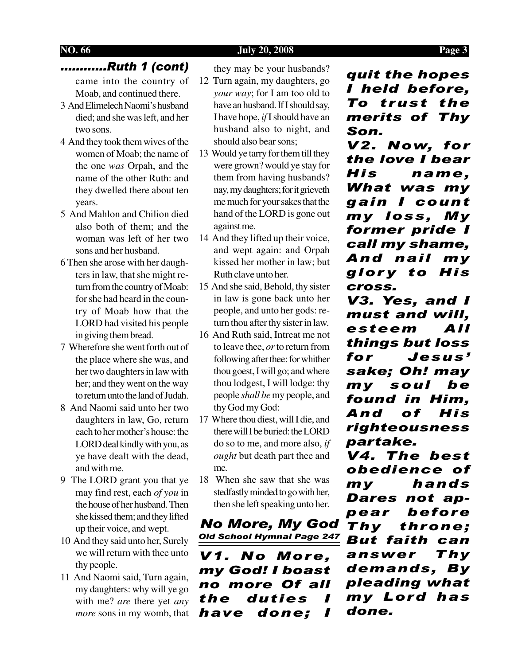### **NO. 66 July 20, 2008 Page 3**

## ............Ruth 1 (cont)

came into the country of Moab, and continued there.

- 3 And Elimelech Naomi's husband died; and she was left, and her two sons.
- 4 And they took them wives of the women of Moab; the name of the one *was* Orpah, and the name of the other Ruth: and they dwelled there about ten years.
- 5 And Mahlon and Chilion died also both of them; and the woman was left of her two sons and her husband.
- 6 Then she arose with her daughters in law, that she might return from the country of Moab: for she had heard in the country of Moab how that the LORD had visited his people in giving them bread.
- 7 Wherefore she went forth out of the place where she was, and her two daughters in law with her; and they went on the way to return unto the land of Judah.
- 8 And Naomi said unto her two daughters in law, Go, return each to her mother's house: the LORD deal kindly with you, as ye have dealt with the dead, and with me.
- 9 The LORD grant you that ye may find rest, each *of you* in the house of her husband. Then she kissed them; and they lifted up their voice, and wept.
- 10 And they said unto her, Surely we will return with thee unto thy people.
- 11 And Naomi said, Turn again, my daughters: why will ye go with me? *are* there yet *any more* sons in my womb, that

they may be your husbands?

- 12 Turn again, my daughters, go *your way*; for I am too old to have an husband. If I should say, I have hope, *if* I should have an husband also to night, and should also bear sons;
- 13 Would ye tarry for them till they were grown? would ye stay for them from having husbands? nay, my daughters; for it grieveth me much for your sakes that the hand of the LORD is gone out against me.
- 14 And they lifted up their voice, and wept again: and Orpah kissed her mother in law; but Ruth clave unto her.
- 15 And she said, Behold, thy sister in law is gone back unto her people, and unto her gods: return thou after thy sister in law.
- 16 And Ruth said, Intreat me not to leave thee, *or* to return from following after thee: for whither thou goest, I will go; and where thou lodgest, I will lodge: thy people *shall be* my people, and thy God my God:
- 17 Where thou diest, will I die, and there will I be buried: the LORD do so to me, and more also, *if ought* but death part thee and me.
- 18 When she saw that she was stedfastly minded to go with her, then she left speaking unto her.

No More, My God Old School Hymnal Page 247

V1. No More, my God! I boast no more Of all the duties I have done; I

quit the hopes I held before, To trust the merits of Thy Son.

V2. Now, for the love I bear His name, What was my gain I count my loss, My former pride I call my shame, And nail my glory to His cross.

V3. Yes, and I must and will, esteem All things but loss for Jesus' sake; Oh! may my soul be found in Him, And of His righteousness partake.

V4. The best obedience of my hands Dares not appear before Thy throne; But faith can answer Thy demands, By pleading what my Lord has done.